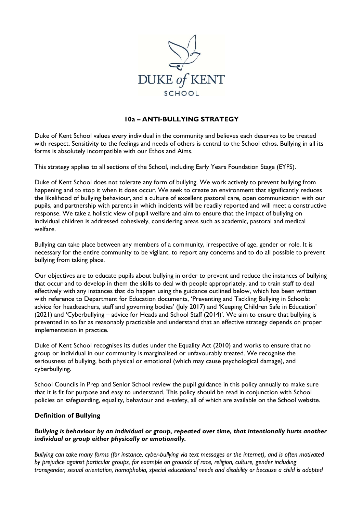

## **10a – ANTI-BULLYING STRATEGY**

Duke of Kent School values every individual in the community and believes each deserves to be treated with respect. Sensitivity to the feelings and needs of others is central to the School ethos. Bullying in all its forms is absolutely incompatible with our Ethos and Aims.

This strategy applies to all sections of the School, including Early Years Foundation Stage (EYFS).

Duke of Kent School does not tolerate any form of bullying. We work actively to prevent bullying from happening and to stop it when it does occur. We seek to create an environment that significantly reduces the likelihood of bullying behaviour, and a culture of excellent pastoral care, open communication with our pupils, and partnership with parents in which incidents will be readily reported and will meet a constructive response. We take a holistic view of pupil welfare and aim to ensure that the impact of bullying on individual children is addressed cohesively, considering areas such as academic, pastoral and medical welfare.

Bullying can take place between any members of a community, irrespective of age, gender or role. It is necessary for the entire community to be vigilant, to report any concerns and to do all possible to prevent bullying from taking place.

Our objectives are to educate pupils about bullying in order to prevent and reduce the instances of bullying that occur and to develop in them the skills to deal with people appropriately, and to train staff to deal effectively with any instances that do happen using the guidance outlined below, which has been written with reference to Department for Education documents, 'Preventing and Tackling Bullying in Schools: advice for headteachers, staff and governing bodies' (July 2017) and 'Keeping Children Safe in Education' (2021) and 'Cyberbullying – advice for Heads and School Staff (2014)'. We aim to ensure that bullying is prevented in so far as reasonably practicable and understand that an effective strategy depends on proper implementation in practice.

Duke of Kent School recognises its duties under the Equality Act (2010) and works to ensure that no group or individual in our community is marginalised or unfavourably treated. We recognise the seriousness of bullying, both physical or emotional (which may cause psychological damage), and cyberbullying.

School Councils in Prep and Senior School review the pupil guidance in this policy annually to make sure that it is fit for purpose and easy to understand. This policy should be read in conjunction with School policies on safeguarding, equality, behaviour and e-safety, all of which are available on the School website.

#### **Definition of Bullying**

#### *Bullying is behaviour by an individual or group, repeated over time, that intentionally hurts another individual or group either physically or emotionally.*

*Bullying can take many forms (for instance, cyber-bullying via text messages or the internet), and is often motivated by prejudice against particular groups, for example on grounds of race, religion, culture, gender including transgender, sexual orientation, homophobia, special educational needs and disability or because a child is adopted*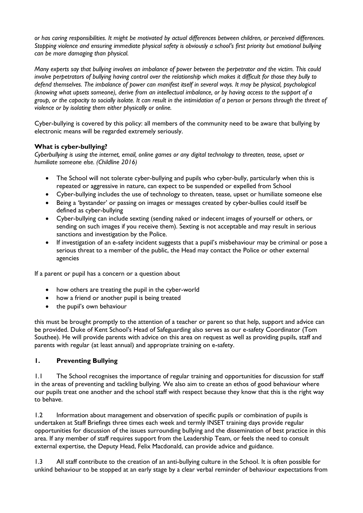*or has caring responsibilities. It might be motivated by actual differences between children, or perceived differences. Stopping violence and ensuring immediate physical safety is obviously a school's first priority but emotional bullying can be more damaging than physical.* 

*Many experts say that bullying involves an imbalance of power between the perpetrator and the victim. This could involve perpetrators of bullying having control over the relationship which makes it difficult for those they bully to defend themselves. The imbalance of power can manifest itself in several ways. It may be physical, psychological (knowing what upsets someone), derive from an intellectual imbalance, or by having access to the support of a group, or the capacity to socially isolate. It can result in the intimidation of a person or persons through the threat of violence or by isolating them either physically or online.* 

Cyber-bullying is covered by this policy: all members of the community need to be aware that bullying by electronic means will be regarded extremely seriously.

## **What is cyber-bullying?**

*Cyberbullying is using the internet, email, online games or any digital technology to threaten, tease, upset or humiliate someone else. (Childline 2016)* 

- The School will not tolerate cyber-bullying and pupils who cyber-bully, particularly when this is repeated or aggressive in nature, can expect to be suspended or expelled from School
- Cyber-bullying includes the use of technology to threaten, tease, upset or humiliate someone else
- Being a 'bystander' or passing on images or messages created by cyber-bullies could itself be defined as cyber-bullying
- Cyber-bullying can include sexting (sending naked or indecent images of yourself or others, or sending on such images if you receive them). Sexting is not acceptable and may result in serious sanctions and investigation by the Police.
- If investigation of an e-safety incident suggests that a pupil's misbehaviour may be criminal or pose a serious threat to a member of the public, the Head may contact the Police or other external agencies

If a parent or pupil has a concern or a question about

- how others are treating the pupil in the cyber-world
- how a friend or another pupil is being treated
- the pupil's own behaviour

this must be brought promptly to the attention of a teacher or parent so that help, support and advice can be provided. Duke of Kent School's Head of Safeguarding also serves as our e-safety Coordinator (Tom Southee). He will provide parents with advice on this area on request as well as providing pupils, staff and parents with regular (at least annual) and appropriate training on e-safety.

## **1. Preventing Bullying**

1.1 The School recognises the importance of regular training and opportunities for discussion for staff in the areas of preventing and tackling bullying. We also aim to create an ethos of good behaviour where our pupils treat one another and the school staff with respect because they know that this is the right way to behave.

1.2 Information about management and observation of specific pupils or combination of pupils is undertaken at Staff Briefings three times each week and termly INSET training days provide regular opportunities for discussion of the issues surrounding bullying and the dissemination of best practice in this area. If any member of staff requires support from the Leadership Team, or feels the need to consult external expertise, the Deputy Head, Felix Macdonald, can provide advice and guidance.

1.3 All staff contribute to the creation of an anti-bullying culture in the School. It is often possible for unkind behaviour to be stopped at an early stage by a clear verbal reminder of behaviour expectations from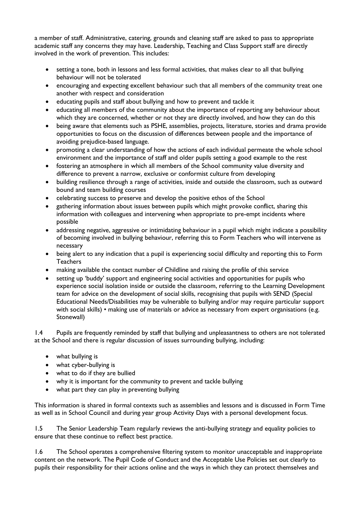a member of staff. Administrative, catering, grounds and cleaning staff are asked to pass to appropriate academic staff any concerns they may have. Leadership, Teaching and Class Support staff are directly involved in the work of prevention. This includes:

- setting a tone, both in lessons and less formal activities, that makes clear to all that bullying behaviour will not be tolerated
- encouraging and expecting excellent behaviour such that all members of the community treat one another with respect and consideration
- educating pupils and staff about bullying and how to prevent and tackle it
- educating all members of the community about the importance of reporting any behaviour about which they are concerned, whether or not they are directly involved, and how they can do this
- being aware that elements such as PSHE, assemblies, projects, literature, stories and drama provide opportunities to focus on the discussion of differences between people and the importance of avoiding prejudice-based language.
- promoting a clear understanding of how the actions of each individual permeate the whole school environment and the importance of staff and older pupils setting a good example to the rest
- fostering an atmosphere in which all members of the School community value diversity and difference to prevent a narrow, exclusive or conformist culture from developing
- building resilience through a range of activities, inside and outside the classroom, such as outward bound and team building courses
- celebrating success to preserve and develop the positive ethos of the School
- gathering information about issues between pupils which might provoke conflict, sharing this information with colleagues and intervening when appropriate to pre-empt incidents where possible
- addressing negative, aggressive or intimidating behaviour in a pupil which might indicate a possibility of becoming involved in bullying behaviour, referring this to Form Teachers who will intervene as necessary
- being alert to any indication that a pupil is experiencing social difficulty and reporting this to Form **Teachers**
- making available the contact number of Childline and raising the profile of this service
- setting up 'buddy' support and engineering social activities and opportunities for pupils who experience social isolation inside or outside the classroom, referring to the Learning Development team for advice on the development of social skills, recognising that pupils with SEND (Special Educational Needs/Disabilities may be vulnerable to bullying and/or may require particular support with social skills) • making use of materials or advice as necessary from expert organisations (e.g. Stonewall)

1.4 Pupils are frequently reminded by staff that bullying and unpleasantness to others are not tolerated at the School and there is regular discussion of issues surrounding bullying, including:

- what bullying is
- what cyber-bullying is
- what to do if they are bullied
- why it is important for the community to prevent and tackle bullying
- what part they can play in preventing bullying

This information is shared in formal contexts such as assemblies and lessons and is discussed in Form Time as well as in School Council and during year group Activity Days with a personal development focus.

1.5 The Senior Leadership Team regularly reviews the anti-bullying strategy and equality policies to ensure that these continue to reflect best practice.

1.6 The School operates a comprehensive filtering system to monitor unacceptable and inappropriate content on the network. The Pupil Code of Conduct and the Acceptable Use Policies set out clearly to pupils their responsibility for their actions online and the ways in which they can protect themselves and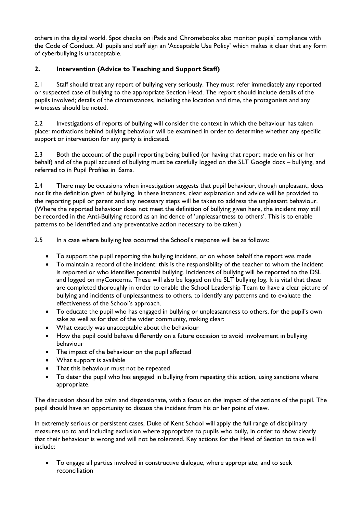others in the digital world. Spot checks on iPads and Chromebooks also monitor pupils' compliance with the Code of Conduct. All pupils and staff sign an 'Acceptable Use Policy' which makes it clear that any form of cyberbullying is unacceptable.

# **2. Intervention (Advice to Teaching and Support Staff)**

2.1 Staff should treat any report of bullying very seriously. They must refer immediately any reported or suspected case of bullying to the appropriate Section Head. The report should include details of the pupils involved; details of the circumstances, including the location and time, the protagonists and any witnesses should be noted.

2.2 Investigations of reports of bullying will consider the context in which the behaviour has taken place: motivations behind bullying behaviour will be examined in order to determine whether any specific support or intervention for any party is indicated.

2.3 Both the account of the pupil reporting being bullied (or having that report made on his or her behalf) and of the pupil accused of bullying must be carefully logged on the SLT Google docs – bullying, and referred to in Pupil Profiles in iSams.

2.4 There may be occasions when investigation suggests that pupil behaviour, though unpleasant, does not fit the definition given of bullying. In these instances, clear explanation and advice will be provided to the reporting pupil or parent and any necessary steps will be taken to address the unpleasant behaviour. (Where the reported behaviour does not meet the definition of bullying given here, the incident may still be recorded in the Anti-Bullying record as an incidence of 'unpleasantness to others'. This is to enable patterns to be identified and any preventative action necessary to be taken.)

2.5 In a case where bullying has occurred the School's response will be as follows:

- To support the pupil reporting the bullying incident, or on whose behalf the report was made
- To maintain a record of the incident: this is the responsibility of the teacher to whom the incident is reported or who identifies potential bullying. Incidences of bullying will be reported to the DSL and logged on myConcerns. These will also be logged on the SLT bullying log. It is vital that these are completed thoroughly in order to enable the School Leadership Team to have a clear picture of bullying and incidents of unpleasantness to others, to identify any patterns and to evaluate the effectiveness of the School's approach.
- To educate the pupil who has engaged in bullying or unpleasantness to others, for the pupil's own sake as well as for that of the wider community, making clear:
- What exactly was unacceptable about the behaviour
- How the pupil could behave differently on a future occasion to avoid involvement in bullying behaviour
- The impact of the behaviour on the pupil affected
- What support is available
- That this behaviour must not be repeated
- To deter the pupil who has engaged in bullying from repeating this action, using sanctions where appropriate.

The discussion should be calm and dispassionate, with a focus on the impact of the actions of the pupil. The pupil should have an opportunity to discuss the incident from his or her point of view.

In extremely serious or persistent cases, Duke of Kent School will apply the full range of disciplinary measures up to and including exclusion where appropriate to pupils who bully, in order to show clearly that their behaviour is wrong and will not be tolerated. Key actions for the Head of Section to take will include:

 To engage all parties involved in constructive dialogue, where appropriate, and to seek reconciliation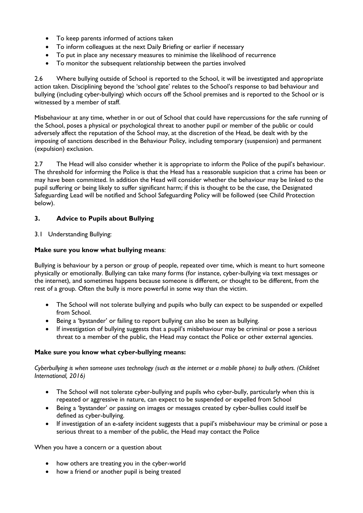- To keep parents informed of actions taken
- To inform colleagues at the next Daily Briefing or earlier if necessary
- To put in place any necessary measures to minimise the likelihood of recurrence
- To monitor the subsequent relationship between the parties involved

2.6 Where bullying outside of School is reported to the School, it will be investigated and appropriate action taken. Disciplining beyond the 'school gate' relates to the School's response to bad behaviour and bullying (including cyber-bullying) which occurs off the School premises and is reported to the School or is witnessed by a member of staff.

Misbehaviour at any time, whether in or out of School that could have repercussions for the safe running of the School, poses a physical or psychological threat to another pupil or member of the public or could adversely affect the reputation of the School may, at the discretion of the Head, be dealt with by the imposing of sanctions described in the Behaviour Policy, including temporary (suspension) and permanent (expulsion) exclusion.

2.7 The Head will also consider whether it is appropriate to inform the Police of the pupil's behaviour. The threshold for informing the Police is that the Head has a reasonable suspicion that a crime has been or may have been committed. In addition the Head will consider whether the behaviour may be linked to the pupil suffering or being likely to suffer significant harm; if this is thought to be the case, the Designated Safeguarding Lead will be notified and School Safeguarding Policy will be followed (see Child Protection below).

## **3. Advice to Pupils about Bullying**

3.1 Understanding Bullying:

#### **Make sure you know what bullying means**:

Bullying is behaviour by a person or group of people, repeated over time, which is meant to hurt someone physically or emotionally. Bullying can take many forms (for instance, cyber-bullying via text messages or the internet), and sometimes happens because someone is different, or thought to be different, from the rest of a group. Often the bully is more powerful in some way than the victim.

- The School will not tolerate bullying and pupils who bully can expect to be suspended or expelled from School.
- Being a 'bystander' or failing to report bullying can also be seen as bullying.
- If investigation of bullying suggests that a pupil's misbehaviour may be criminal or pose a serious threat to a member of the public, the Head may contact the Police or other external agencies.

#### **Make sure you know what cyber-bullying means:**

*Cyberbullying is when someone uses technology (such as the internet or a mobile phone) to bully others. (Childnet International, 2016)* 

- The School will not tolerate cyber-bullying and pupils who cyber-bully, particularly when this is repeated or aggressive in nature, can expect to be suspended or expelled from School
- Being a 'bystander' or passing on images or messages created by cyber-bullies could itself be defined as cyber-bullying.
- If investigation of an e-safety incident suggests that a pupil's misbehaviour may be criminal or pose a serious threat to a member of the public, the Head may contact the Police

When you have a concern or a question about

- how others are treating you in the cyber-world
- how a friend or another pupil is being treated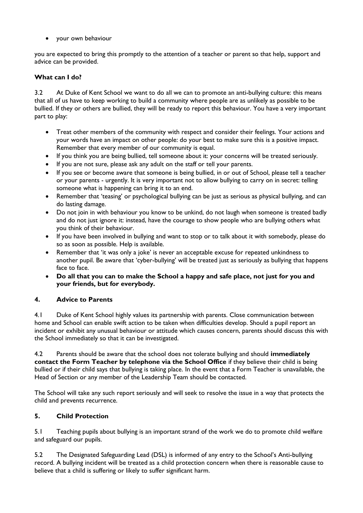your own behaviour

you are expected to bring this promptly to the attention of a teacher or parent so that help, support and advice can be provided.

# **What can I do?**

3.2 At Duke of Kent School we want to do all we can to promote an anti-bullying culture: this means that all of us have to keep working to build a community where people are as unlikely as possible to be bullied. If they or others are bullied, they will be ready to report this behaviour. You have a very important part to play:

- Treat other members of the community with respect and consider their feelings. Your actions and your words have an impact on other people: do your best to make sure this is a positive impact. Remember that every member of our community is equal.
- If you think you are being bullied, tell someone about it: your concerns will be treated seriously.
- If you are not sure, please ask any adult on the staff or tell your parents.
- If you see or become aware that someone is being bullied, in or out of School, please tell a teacher or your parents - urgently. It is very important not to allow bullying to carry on in secret: telling someone what is happening can bring it to an end.
- Remember that 'teasing' or psychological bullying can be just as serious as physical bullying, and can do lasting damage.
- Do not join in with behaviour you know to be unkind, do not laugh when someone is treated badly and do not just ignore it: instead, have the courage to show people who are bullying others what you think of their behaviour.
- If you have been involved in bullying and want to stop or to talk about it with somebody, please do so as soon as possible. Help is available.
- Remember that 'it was only a joke' is never an acceptable excuse for repeated unkindness to another pupil. Be aware that 'cyber-bullying' will be treated just as seriously as bullying that happens face to face.
- **Do all that you can to make the School a happy and safe place, not just for you and your friends, but for everybody.**

## **4. Advice to Parents**

4.1 Duke of Kent School highly values its partnership with parents. Close communication between home and School can enable swift action to be taken when difficulties develop. Should a pupil report an incident or exhibit any unusual behaviour or attitude which causes concern, parents should discuss this with the School immediately so that it can be investigated.

4.2 Parents should be aware that the school does not tolerate bullying and should **immediately contact the Form Teacher by telephone via the School Office** if they believe their child is being bullied or if their child says that bullying is taking place. In the event that a Form Teacher is unavailable, the Head of Section or any member of the Leadership Team should be contacted.

The School will take any such report seriously and will seek to resolve the issue in a way that protects the child and prevents recurrence.

# **5. Child Protection**

5.1 Teaching pupils about bullying is an important strand of the work we do to promote child welfare and safeguard our pupils.

5.2 The Designated Safeguarding Lead (DSL) is informed of any entry to the School's Anti-bullying record. A bullying incident will be treated as a child protection concern when there is reasonable cause to believe that a child is suffering or likely to suffer significant harm.